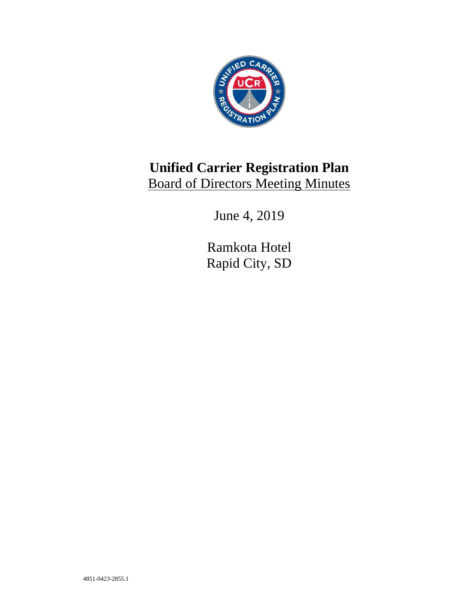

# **Unified Carrier Registration Plan** Board of Directors Meeting Minutes

June 4, 2019

Ramkota Hotel Rapid City, SD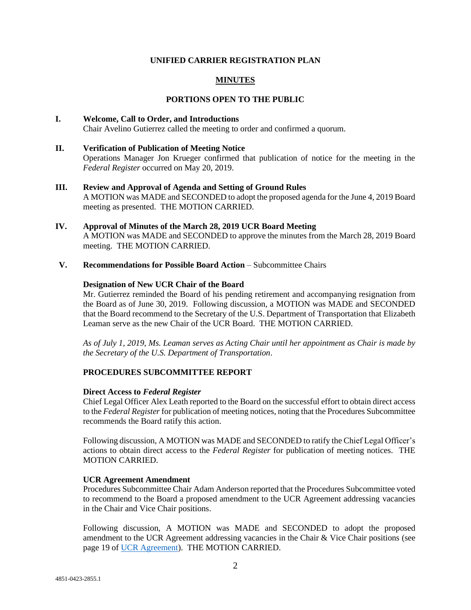# **UNIFIED CARRIER REGISTRATION PLAN**

# **MINUTES**

## **PORTIONS OPEN TO THE PUBLIC**

# **I. Welcome, Call to Order, and Introductions**  Chair Avelino Gutierrez called the meeting to order and confirmed a quorum.

- **II. Verification of Publication of Meeting Notice**  Operations Manager Jon Krueger confirmed that publication of notice for the meeting in the *Federal Register* occurred on May 20, 2019.
- **III. Review and Approval of Agenda and Setting of Ground Rules** A MOTION was MADE and SECONDED to adopt the proposed agenda for the June 4, 2019 Board meeting as presented. THE MOTION CARRIED.
- **IV. Approval of Minutes of the March 28, 2019 UCR Board Meeting** A MOTION was MADE and SECONDED to approve the minutes from the March 28, 2019 Board meeting. THE MOTION CARRIED.
- **V. Recommendations for Possible Board Action** Subcommittee Chairs

## **Designation of New UCR Chair of the Board**

Mr. Gutierrez reminded the Board of his pending retirement and accompanying resignation from the Board as of June 30, 2019. Following discussion, a MOTION was MADE and SECONDED that the Board recommend to the Secretary of the U.S. Department of Transportation that Elizabeth Leaman serve as the new Chair of the UCR Board. THE MOTION CARRIED.

*As of July 1, 2019, Ms. Leaman serves as Acting Chair until her appointment as Chair is made by the Secretary of the U.S. Department of Transportation*.

## **PROCEDURES SUBCOMMITTEE REPORT**

## **Direct Access to** *Federal Register*

Chief Legal Officer Alex Leath reported to the Board on the successful effort to obtain direct access to the *Federal Register*for publication of meeting notices, noting that the Procedures Subcommittee recommends the Board ratify this action.

Following discussion, A MOTION was MADE and SECONDED to ratify the Chief Legal Officer's actions to obtain direct access to the *Federal Register* for publication of meeting notices. THE MOTION CARRIED.

## **UCR Agreement Amendment**

Procedures Subcommittee Chair Adam Anderson reported that the Procedures Subcommittee voted to recommend to the Board a proposed amendment to the UCR Agreement addressing vacancies in the Chair and Vice Chair positions.

Following discussion, A MOTION was MADE and SECONDED to adopt the proposed amendment to the UCR Agreement addressing vacancies in the Chair & Vice Chair positions (see page 19 of [UCR Agreement\)](https://plan.ucr.gov/wp-content/uploads/2019/06/UCR-Agreement-updates-June-2019-1.pdf). THE MOTION CARRIED.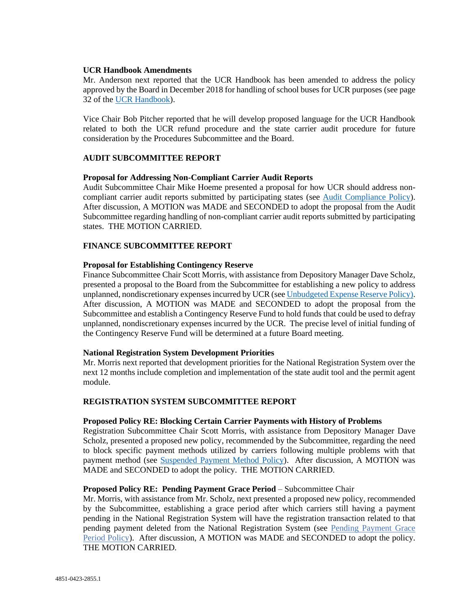## **UCR Handbook Amendments**

Mr. Anderson next reported that the UCR Handbook has been amended to address the policy approved by the Board in December 2018 for handling of school buses for UCR purposes (see page 32 of the [UCR Handbook\)](https://plan.ucr.gov/wp-content/uploads/2019/01/UCR-HANDBOOK-edited-12.28-.pdf).

Vice Chair Bob Pitcher reported that he will develop proposed language for the UCR Handbook related to both the UCR refund procedure and the state carrier audit procedure for future consideration by the Procedures Subcommittee and the Board.

## **AUDIT SUBCOMMITTEE REPORT**

## **Proposal for Addressing Non-Compliant Carrier Audit Reports**

Audit Subcommittee Chair Mike Hoeme presented a proposal for how UCR should address noncompliant carrier audit reports submitted by participating states (see [Audit Compliance Policy\)](https://plan.ucr.gov/wp-content/uploads/2019/07/Audit-Compliance-Policy-002.pdf). After discussion, A MOTION was MADE and SECONDED to adopt the proposal from the Audit Subcommittee regarding handling of non-compliant carrier audit reports submitted by participating states. THE MOTION CARRIED.

# **FINANCE SUBCOMMITTEE REPORT**

## **Proposal for Establishing Contingency Reserve**

Finance Subcommittee Chair Scott Morris, with assistance from Depository Manager Dave Scholz, presented a proposal to the Board from the Subcommittee for establishing a new policy to address unplanned, nondiscretionary expenses incurred by UCR (see [Unbudgeted Expense Reserve Policy\)](https://plan.ucr.gov/wp-content/uploads/2019/06/1Unbudgeted-Expense-Reserve-Policy_Adopted.pdf). After discussion, A MOTION was MADE and SECONDED to adopt the proposal from the Subcommittee and establish a Contingency Reserve Fund to hold funds that could be used to defray unplanned, nondiscretionary expenses incurred by the UCR. The precise level of initial funding of the Contingency Reserve Fund will be determined at a future Board meeting.

## **National Registration System Development Priorities**

Mr. Morris next reported that development priorities for the National Registration System over the next 12 months include completion and implementation of the state audit tool and the permit agent module.

## **REGISTRATION SYSTEM SUBCOMMITTEE REPORT**

## **Proposed Policy RE: Blocking Certain Carrier Payments with History of Problems**

Registration Subcommittee Chair Scott Morris, with assistance from Depository Manager Dave Scholz, presented a proposed new policy, recommended by the Subcommittee, regarding the need to block specific payment methods utilized by carriers following multiple problems with that payment method (see **Suspended Payment Method Policy**). After discussion, A MOTION was MADE and SECONDED to adopt the policy. THE MOTION CARRIED.

## **Proposed Policy RE: Pending Payment Grace Period** – Subcommittee Chair

Mr. Morris, with assistance from Mr. Scholz, next presented a proposed new policy, recommended by the Subcommittee, establishing a grace period after which carriers still having a payment pending in the National Registration System will have the registration transaction related to that pending payment deleted from the National Registration System (see Pending Payment Grace Period Policy). After discussion, A MOTION was MADE and SECONDED to adopt the policy. THE MOTION CARRIED.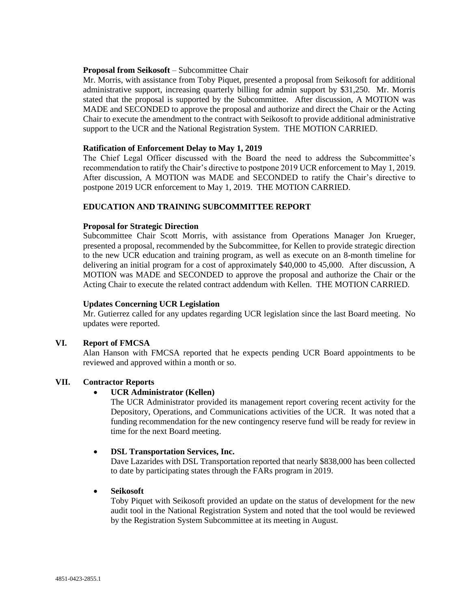## **Proposal from Seikosoft** – Subcommittee Chair

Mr. Morris, with assistance from Toby Piquet, presented a proposal from Seikosoft for additional administrative support, increasing quarterly billing for admin support by \$31,250. Mr. Morris stated that the proposal is supported by the Subcommittee. After discussion, A MOTION was MADE and SECONDED to approve the proposal and authorize and direct the Chair or the Acting Chair to execute the amendment to the contract with Seikosoft to provide additional administrative support to the UCR and the National Registration System. THE MOTION CARRIED.

## **Ratification of Enforcement Delay to May 1, 2019**

The Chief Legal Officer discussed with the Board the need to address the Subcommittee's recommendation to ratify the Chair's directive to postpone 2019 UCR enforcement to May 1, 2019. After discussion, A MOTION was MADE and SECONDED to ratify the Chair's directive to postpone 2019 UCR enforcement to May 1, 2019. THE MOTION CARRIED.

## **EDUCATION AND TRAINING SUBCOMMITTEE REPORT**

## **Proposal for Strategic Direction**

Subcommittee Chair Scott Morris, with assistance from Operations Manager Jon Krueger, presented a proposal, recommended by the Subcommittee, for Kellen to provide strategic direction to the new UCR education and training program, as well as execute on an 8-month timeline for delivering an initial program for a cost of approximately \$40,000 to 45,000. After discussion, A MOTION was MADE and SECONDED to approve the proposal and authorize the Chair or the Acting Chair to execute the related contract addendum with Kellen. THE MOTION CARRIED.

## **Updates Concerning UCR Legislation**

Mr. Gutierrez called for any updates regarding UCR legislation since the last Board meeting. No updates were reported.

## **VI. Report of FMCSA**

Alan Hanson with FMCSA reported that he expects pending UCR Board appointments to be reviewed and approved within a month or so.

# **VII. Contractor Reports**

# • **UCR Administrator (Kellen)**

The UCR Administrator provided its management report covering recent activity for the Depository, Operations, and Communications activities of the UCR. It was noted that a funding recommendation for the new contingency reserve fund will be ready for review in time for the next Board meeting.

## • **DSL Transportation Services, Inc.**

Dave Lazarides with DSL Transportation reported that nearly \$838,000 has been collected to date by participating states through the FARs program in 2019.

## • **Seikosoft**

Toby Piquet with Seikosoft provided an update on the status of development for the new audit tool in the National Registration System and noted that the tool would be reviewed by the Registration System Subcommittee at its meeting in August.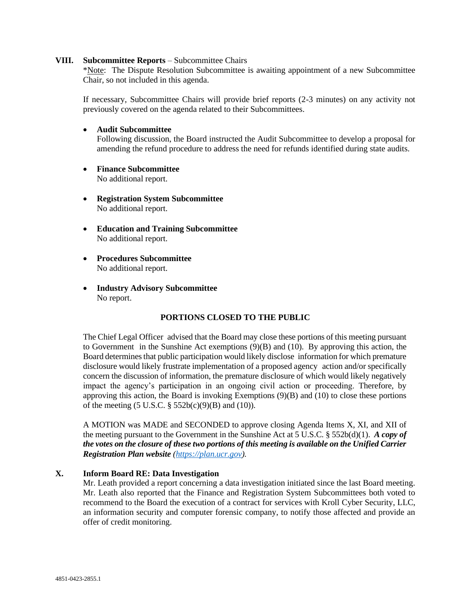#### **VIII. Subcommittee Reports** – Subcommittee Chairs

\*Note: The Dispute Resolution Subcommittee is awaiting appointment of a new Subcommittee Chair, so not included in this agenda.

If necessary, Subcommittee Chairs will provide brief reports (2-3 minutes) on any activity not previously covered on the agenda related to their Subcommittees.

#### • **Audit Subcommittee**

Following discussion, the Board instructed the Audit Subcommittee to develop a proposal for amending the refund procedure to address the need for refunds identified during state audits.

- **Finance Subcommittee**  No additional report.
- **Registration System Subcommittee**  No additional report.
- **Education and Training Subcommittee**  No additional report.
- **Procedures Subcommittee**  No additional report.
- **Industry Advisory Subcommittee**  No report.

## **PORTIONS CLOSED TO THE PUBLIC**

The Chief Legal Officer advised that the Board may close these portions of this meeting pursuant to Government in the Sunshine Act exemptions (9)(B) and (10). By approving this action, the Board determines that public participation would likely disclose information for which premature disclosure would likely frustrate implementation of a proposed agency action and/or specifically concern the discussion of information, the premature disclosure of which would likely negatively impact the agency's participation in an ongoing civil action or proceeding. Therefore, by approving this action, the Board is invoking Exemptions (9)(B) and (10) to close these portions of the meeting  $(5 \text{ U.S.C. } § 552b(c)(9)(B)$  and  $(10)$ ).

A MOTION was MADE and SECONDED to approve closing Agenda Items X, XI, and XII of the meeting pursuant to the Government in the Sunshine Act at 5 U.S.C. § 552b(d)(1). *A copy of the votes on the closure of these two portions of this meeting is available on the Unified Carrier Registration Plan website [\(https://plan.ucr.gov\)](https://plan.ucr.gov/).* 

## **X. Inform Board RE: Data Investigation**

Mr. Leath provided a report concerning a data investigation initiated since the last Board meeting. Mr. Leath also reported that the Finance and Registration System Subcommittees both voted to recommend to the Board the execution of a contract for services with Kroll Cyber Security, LLC, an information security and computer forensic company, to notify those affected and provide an offer of credit monitoring.